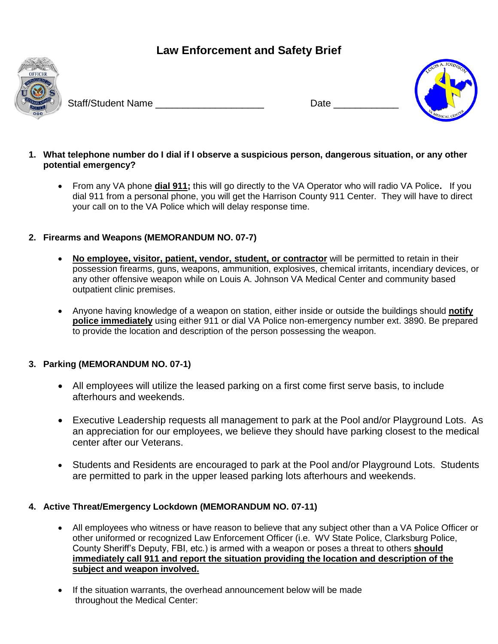# **Law Enforcement and Safety Brief**



Staff/Student Name **Date 2018** 



# **1. What telephone number do I dial if I observe a suspicious person, dangerous situation, or any other potential emergency?**

• From any VA phone **dial 911;** this will go directly to the VA Operator who will radio VA Police**.** If you dial 911 from a personal phone, you will get the Harrison County 911 Center. They will have to direct your call on to the VA Police which will delay response time.

# **2. Firearms and Weapons (MEMORANDUM NO. 07-7)**

- **No employee, visitor, patient, vendor, student, or contractor** will be permitted to retain in their possession firearms, guns, weapons, ammunition, explosives, chemical irritants, incendiary devices, or any other offensive weapon while on Louis A. Johnson VA Medical Center and community based outpatient clinic premises.
- Anyone having knowledge of a weapon on station, either inside or outside the buildings should **notify police immediately** using either 911 or dial VA Police non-emergency number ext. 3890. Be prepared to provide the location and description of the person possessing the weapon.

# **3. Parking (MEMORANDUM NO. 07-1)**

- All employees will utilize the leased parking on a first come first serve basis, to include afterhours and weekends.
- Executive Leadership requests all management to park at the Pool and/or Playground Lots. As an appreciation for our employees, we believe they should have parking closest to the medical center after our Veterans.
- Students and Residents are encouraged to park at the Pool and/or Playground Lots. Students are permitted to park in the upper leased parking lots afterhours and weekends.

# **4. Active Threat/Emergency Lockdown (MEMORANDUM NO. 07-11)**

- All employees who witness or have reason to believe that any subject other than a VA Police Officer or other uniformed or recognized Law Enforcement Officer (i.e. WV State Police, Clarksburg Police, County Sheriff's Deputy, FBI, etc.) is armed with a weapon or poses a threat to others **should immediately call 911 and report the situation providing the location and description of the subject and weapon involved.**
- If the situation warrants, the overhead announcement below will be made throughout the Medical Center: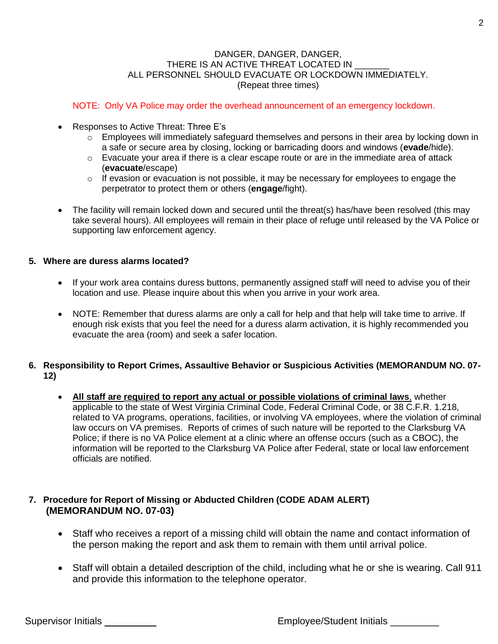#### DANGER, DANGER, DANGER, THERE IS AN ACTIVE THREAT LOCATED IN ALL PERSONNEL SHOULD EVACUATE OR LOCKDOWN IMMEDIATELY. (Repeat three times)

#### NOTE: Only VA Police may order the overhead announcement of an emergency lockdown.

- Responses to Active Threat: Three E's
	- $\circ$  Employees will immediately safeguard themselves and persons in their area by locking down in a safe or secure area by closing, locking or barricading doors and windows (**evade**/hide).
	- o Evacuate your area if there is a clear escape route or are in the immediate area of attack (**evacuate**/escape)
	- $\circ$  If evasion or evacuation is not possible, it may be necessary for employees to engage the perpetrator to protect them or others (**engage**/fight).
- The facility will remain locked down and secured until the threat(s) has/have been resolved (this may take several hours). All employees will remain in their place of refuge until released by the VA Police or supporting law enforcement agency.

## **5. Where are duress alarms located?**

- If your work area contains duress buttons, permanently assigned staff will need to advise you of their location and use. Please inquire about this when you arrive in your work area.
- NOTE: Remember that duress alarms are only a call for help and that help will take time to arrive. If enough risk exists that you feel the need for a duress alarm activation, it is highly recommended you evacuate the area (room) and seek a safer location.

## **6. Responsibility to Report Crimes, Assaultive Behavior or Suspicious Activities (MEMORANDUM NO. 07- 12)**

• **All staff are required to report any actual or possible violations of criminal laws**, whether applicable to the state of West Virginia Criminal Code, Federal Criminal Code, or 38 C.F.R. 1.218, related to VA programs, operations, facilities, or involving VA employees, where the violation of criminal law occurs on VA premises. Reports of crimes of such nature will be reported to the Clarksburg VA Police; if there is no VA Police element at a clinic where an offense occurs (such as a CBOC), the information will be reported to the Clarksburg VA Police after Federal, state or local law enforcement officials are notified.

## **7. Procedure for Report of Missing or Abducted Children (CODE ADAM ALERT) (MEMORANDUM NO. 07-03)**

- Staff who receives a report of a missing child will obtain the name and contact information of the person making the report and ask them to remain with them until arrival police.
- Staff will obtain a detailed description of the child, including what he or she is wearing. Call 911 and provide this information to the telephone operator.

Supervisor Initials \_\_\_\_ \_\_\_\_\_ Employee/Student Initials \_\_\_\_\_\_\_\_\_